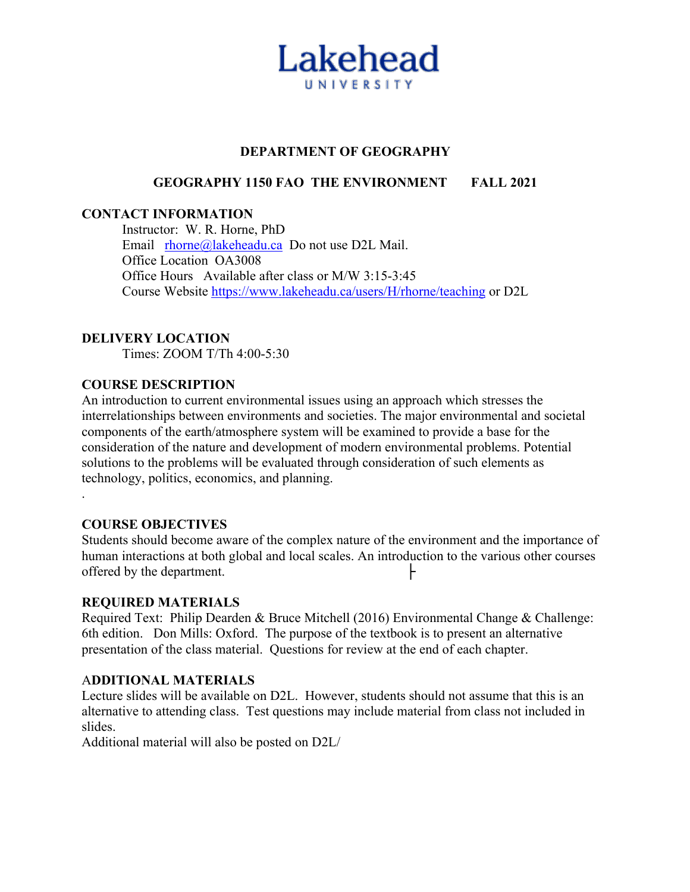

### **DEPARTMENT OF GEOGRAPHY**

### **GEOGRAPHY 1150 FAO THE ENVIRONMENT FALL 2021**

#### **CONTACT INFORMATION**

Instructor: W. R. Horne, PhD Email rhorne@lakeheadu.ca Do not use D2L Mail. Office Location OA3008 Office Hours Available after class or M/W 3:15-3:45 Course Website https://www.lakeheadu.ca/users/H/rhorne/teaching or D2L

#### **DELIVERY LOCATION**

Times: ZOOM T/Th 4:00-5:30

#### **COURSE DESCRIPTION**

An introduction to current environmental issues using an approach which stresses the interrelationships between environments and societies. The major environmental and societal components of the earth/atmosphere system will be examined to provide a base for the consideration of the nature and development of modern environmental problems. Potential solutions to the problems will be evaluated through consideration of such elements as technology, politics, economics, and planning.

#### **COURSE OBJECTIVES**

.

Students should become aware of the complex nature of the environment and the importance of human interactions at both global and local scales. An introduction to the various other courses offered by the department.

#### **REQUIRED MATERIALS**

Required Text: Philip Dearden & Bruce Mitchell (2016) Environmental Change & Challenge: 6th edition. Don Mills: Oxford. The purpose of the textbook is to present an alternative presentation of the class material. Questions for review at the end of each chapter.

#### A**DDITIONAL MATERIALS**

Lecture slides will be available on D2L. However, students should not assume that this is an alternative to attending class. Test questions may include material from class not included in slides.

Additional material will also be posted on D2L/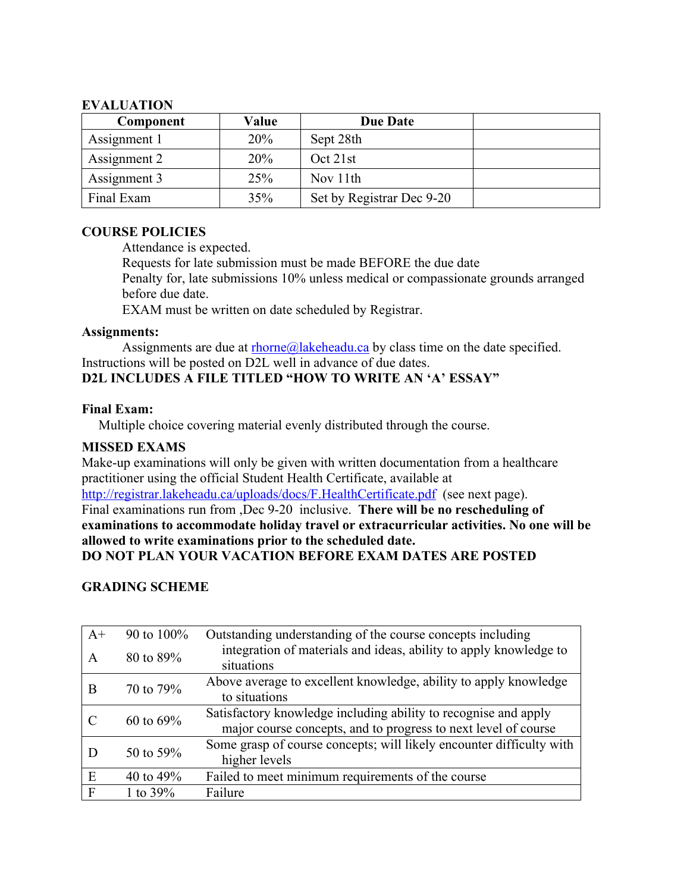### **EVALUATION**

| Component    | Value | <b>Due Date</b>           |  |
|--------------|-------|---------------------------|--|
| Assignment 1 | 20%   | Sept 28th                 |  |
| Assignment 2 | 20%   | Oct 21st                  |  |
| Assignment 3 | 25%   | Nov 11th                  |  |
| Final Exam   | 35%   | Set by Registrar Dec 9-20 |  |

# **COURSE POLICIES**

Attendance is expected.

Requests for late submission must be made BEFORE the due date Penalty for, late submissions 10% unless medical or compassionate grounds arranged before due date.

EXAM must be written on date scheduled by Registrar.

## **Assignments:**

Assignments are due at  $r \cdot h \cdot \frac{\partial g}{\partial x}$  has keheadu.ca by class time on the date specified. Instructions will be posted on D2L well in advance of due dates. **D2L INCLUDES A FILE TITLED "HOW TO WRITE AN 'A' ESSAY"**

# **Final Exam:**

Multiple choice covering material evenly distributed through the course.

# **MISSED EXAMS**

Make-up examinations will only be given with written documentation from a healthcare practitioner using the official Student Health Certificate, available at http://registrar.lakeheadu.ca/uploads/docs/F.HealthCertificate.pdf (see next page). Final examinations run from ,Dec 9-20 inclusive. **There will be no rescheduling of examinations to accommodate holiday travel or extracurricular activities. No one will be allowed to write examinations prior to the scheduled date.**

# **DO NOT PLAN YOUR VACATION BEFORE EXAM DATES ARE POSTED**

# **GRADING SCHEME**

| $A+$         | 90 to 100%  | Outstanding understanding of the course concepts including                      |  |
|--------------|-------------|---------------------------------------------------------------------------------|--|
| A            | 80 to 89%   | integration of materials and ideas, ability to apply knowledge to<br>situations |  |
| B            | 70 to 79%   | Above average to excellent knowledge, ability to apply knowledge                |  |
|              |             | to situations                                                                   |  |
| 60 to $69\%$ |             | Satisfactory knowledge including ability to recognise and apply                 |  |
|              |             | major course concepts, and to progress to next level of course                  |  |
| 50 to 59%    |             | Some grasp of course concepts; will likely encounter difficulty with            |  |
|              |             | higher levels                                                                   |  |
| E            | 40 to $49%$ | Failed to meet minimum requirements of the course                               |  |
| F            | 1 to $39%$  | Failure                                                                         |  |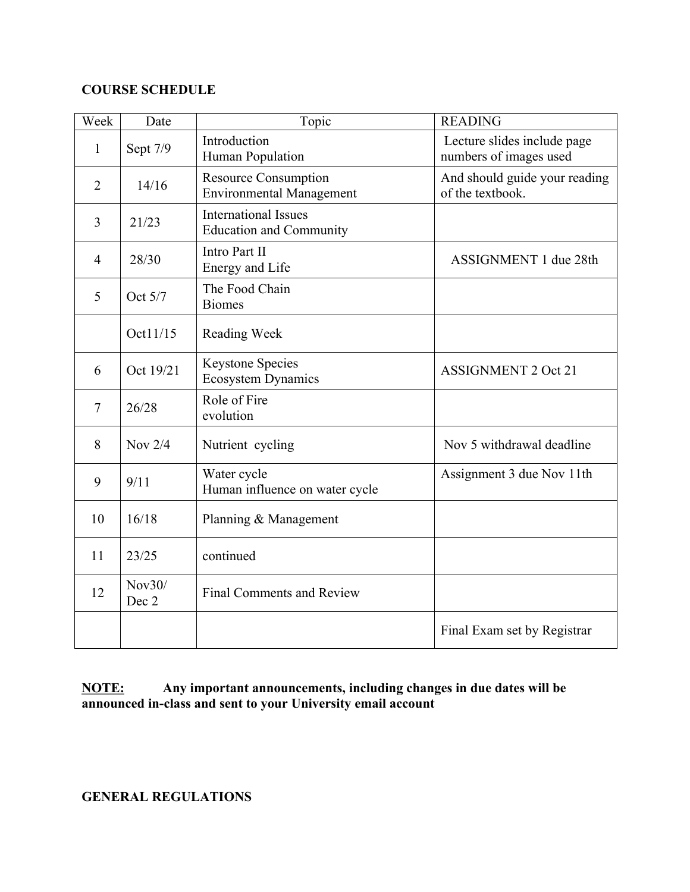# **COURSE SCHEDULE**

| Week           | Date            | Topic                                                          | <b>READING</b>                                        |
|----------------|-----------------|----------------------------------------------------------------|-------------------------------------------------------|
| $\mathbf{1}$   | Sept 7/9        | Introduction<br>Human Population                               | Lecture slides include page<br>numbers of images used |
| $\overline{2}$ | 14/16           | <b>Resource Consumption</b><br><b>Environmental Management</b> | And should guide your reading<br>of the textbook.     |
| 3              | 21/23           | <b>International Issues</b><br><b>Education and Community</b>  |                                                       |
| $\overline{4}$ | 28/30           | Intro Part II<br>Energy and Life                               | ASSIGNMENT 1 due 28th                                 |
| 5              | Oct 5/7         | The Food Chain<br><b>Biomes</b>                                |                                                       |
|                | Oct11/15        | Reading Week                                                   |                                                       |
| 6              | Oct 19/21       | <b>Keystone Species</b><br><b>Ecosystem Dynamics</b>           | <b>ASSIGNMENT 2 Oct 21</b>                            |
| $\overline{7}$ | 26/28           | Role of Fire<br>evolution                                      |                                                       |
| 8              | Nov $2/4$       | Nutrient cycling                                               | Nov 5 withdrawal deadline                             |
| 9              | 9/11            | Water cycle<br>Human influence on water cycle                  | Assignment 3 due Nov 11th                             |
| 10             | 16/18           | Planning & Management                                          |                                                       |
| 11             | 23/25           | continued                                                      |                                                       |
| 12             | Nov30/<br>Dec 2 | <b>Final Comments and Review</b>                               |                                                       |
|                |                 |                                                                | Final Exam set by Registrar                           |

**NOTE: Any important announcements, including changes in due dates will be announced in-class and sent to your University email account**

**GENERAL REGULATIONS**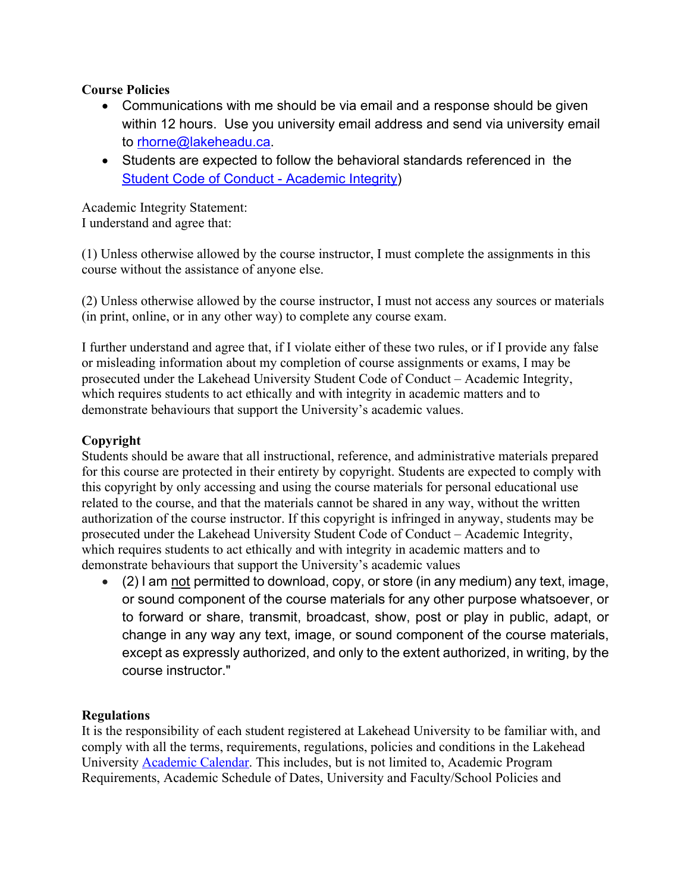# **Course Policies**

- Communications with me should be via email and a response should be given within 12 hours. Use you university email address and send via university email to rhorne@lakeheadu.ca.
- Students are expected to follow the behavioral standards referenced in the Student Code of Conduct - Academic Integrity)

Academic Integrity Statement: I understand and agree that:

(1) Unless otherwise allowed by the course instructor, I must complete the assignments in this course without the assistance of anyone else.

(2) Unless otherwise allowed by the course instructor, I must not access any sources or materials (in print, online, or in any other way) to complete any course exam.

I further understand and agree that, if I violate either of these two rules, or if I provide any false or misleading information about my completion of course assignments or exams, I may be prosecuted under the Lakehead University Student Code of Conduct – Academic Integrity, which requires students to act ethically and with integrity in academic matters and to demonstrate behaviours that support the University's academic values.

# **Copyright**

Students should be aware that all instructional, reference, and administrative materials prepared for this course are protected in their entirety by copyright. Students are expected to comply with this copyright by only accessing and using the course materials for personal educational use related to the course, and that the materials cannot be shared in any way, without the written authorization of the course instructor. If this copyright is infringed in anyway, students may be prosecuted under the Lakehead University Student Code of Conduct – Academic Integrity, which requires students to act ethically and with integrity in academic matters and to demonstrate behaviours that support the University's academic values

• (2) I am not permitted to download, copy, or store (in any medium) any text, image, or sound component of the course materials for any other purpose whatsoever, or to forward or share, transmit, broadcast, show, post or play in public, adapt, or change in any way any text, image, or sound component of the course materials, except as expressly authorized, and only to the extent authorized, in writing, by the course instructor."

# **Regulations**

It is the responsibility of each student registered at Lakehead University to be familiar with, and comply with all the terms, requirements, regulations, policies and conditions in the Lakehead University Academic Calendar. This includes, but is not limited to, Academic Program Requirements, Academic Schedule of Dates, University and Faculty/School Policies and